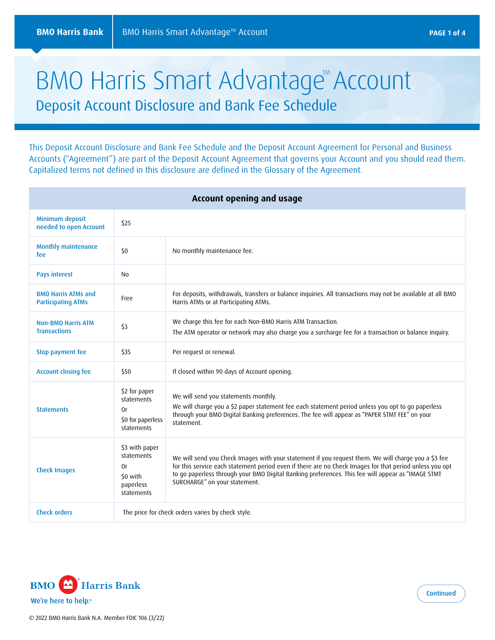# BMO Harris Smart Advantage<sup>M</sup> Account Deposit Account Disclosure and Bank Fee Schedule

This Deposit Account Disclosure and Bank Fee Schedule and the Deposit Account Agreement for Personal and Business Accounts ("Agreement") are part of the Deposit Account Agreement that governs your Account and you should read them. Capitalized terms not defined in this disclosure are defined in the Glossary of the Agreement.

| Account opening and usage                               |                                                                           |                                                                                                                                                                                                                                                                                                                                                      |
|---------------------------------------------------------|---------------------------------------------------------------------------|------------------------------------------------------------------------------------------------------------------------------------------------------------------------------------------------------------------------------------------------------------------------------------------------------------------------------------------------------|
| Minimum deposit<br>needed to open Account               | \$25                                                                      |                                                                                                                                                                                                                                                                                                                                                      |
| <b>Monthly maintenance</b><br>fee                       | 50                                                                        | No monthly maintenance fee.                                                                                                                                                                                                                                                                                                                          |
| <b>Pays interest</b>                                    | No                                                                        |                                                                                                                                                                                                                                                                                                                                                      |
| <b>BMO Harris ATMs and</b><br><b>Participating ATMs</b> | Free                                                                      | For deposits, withdrawals, transfers or balance inquiries. All transactions may not be available at all BMO<br>Harris ATMs or at Participating ATMs.                                                                                                                                                                                                 |
| <b>Non-BMO Harris ATM</b><br><b>Transactions</b>        | \$3                                                                       | We charge this fee for each Non-BMO Harris ATM Transaction.<br>The ATM operator or network may also charge you a surcharge fee for a transaction or balance inquiry.                                                                                                                                                                                 |
| <b>Stop payment fee</b>                                 | \$35                                                                      | Per request or renewal.                                                                                                                                                                                                                                                                                                                              |
| <b>Account closing fee</b>                              | \$50                                                                      | If closed within 90 days of Account opening.                                                                                                                                                                                                                                                                                                         |
| <b>Statements</b>                                       | \$2 for paper<br>statements<br>0r<br>\$0 for paperless<br>statements      | We will send you statements monthly.<br>We will charge you a \$2 paper statement fee each statement period unless you opt to go paperless<br>through your BMO Digital Banking preferences. The fee will appear as "PAPER STMT FEE" on your<br>statement.                                                                                             |
| <b>Check Images</b>                                     | \$3 with paper<br>statements<br>0r<br>\$0 with<br>paperless<br>statements | We will send you Check Images with your statement if you request them. We will charge you a \$3 fee<br>for this service each statement period even if there are no Check Images for that period unless you opt<br>to go paperless through your BMO Digital Banking preferences. This fee will appear as "IMAGE STMT<br>SURCHARGE" on your statement. |
| <b>Check orders</b>                                     | The price for check orders varies by check style.                         |                                                                                                                                                                                                                                                                                                                                                      |

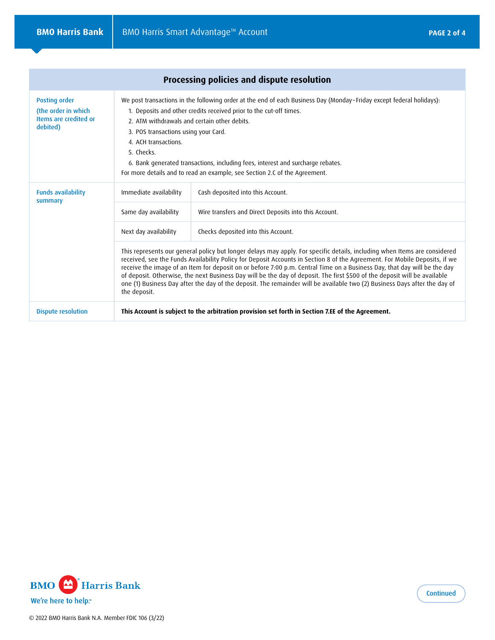|                                                                                  |                                                                                                                                                                                                                                                                                                                                                                                                                                                                                                                                                                                                                                                               | Processing policies and dispute resolution                                                       |  |
|----------------------------------------------------------------------------------|---------------------------------------------------------------------------------------------------------------------------------------------------------------------------------------------------------------------------------------------------------------------------------------------------------------------------------------------------------------------------------------------------------------------------------------------------------------------------------------------------------------------------------------------------------------------------------------------------------------------------------------------------------------|--------------------------------------------------------------------------------------------------|--|
| <b>Posting order</b><br>(the order in which<br>Items are credited or<br>debited) | We post transactions in the following order at the end of each Business Day (Monday-Friday except federal holidays):<br>1. Deposits and other credits received prior to the cut-off times.<br>2. ATM withdrawals and certain other debits.<br>3. POS transactions using your Card.<br>4. ACH transactions.<br>5. Checks.<br>6. Bank generated transactions, including fees, interest and surcharge rebates.<br>For more details and to read an example, see Section 2.C of the Agreement.                                                                                                                                                                     |                                                                                                  |  |
| <b>Funds availability</b><br>summary                                             | Immediate availability                                                                                                                                                                                                                                                                                                                                                                                                                                                                                                                                                                                                                                        | Cash deposited into this Account.                                                                |  |
|                                                                                  | Same day availability                                                                                                                                                                                                                                                                                                                                                                                                                                                                                                                                                                                                                                         | Wire transfers and Direct Deposits into this Account.                                            |  |
|                                                                                  | Next day availability                                                                                                                                                                                                                                                                                                                                                                                                                                                                                                                                                                                                                                         | Checks deposited into this Account.                                                              |  |
|                                                                                  | This represents our general policy but longer delays may apply. For specific details, including when Items are considered<br>received, see the Funds Availability Policy for Deposit Accounts in Section 8 of the Agreement. For Mobile Deposits, if we<br>receive the image of an Item for deposit on or before 7:00 p.m. Central Time on a Business Day, that day will be the day<br>of deposit. Otherwise, the next Business Day will be the day of deposit. The first \$500 of the deposit will be available<br>one (1) Business Day after the day of the deposit. The remainder will be available two (2) Business Days after the day of<br>the deposit. |                                                                                                  |  |
| <b>Dispute resolution</b>                                                        |                                                                                                                                                                                                                                                                                                                                                                                                                                                                                                                                                                                                                                                               | This Account is subject to the arbitration provision set forth in Section 7.EE of the Agreement. |  |

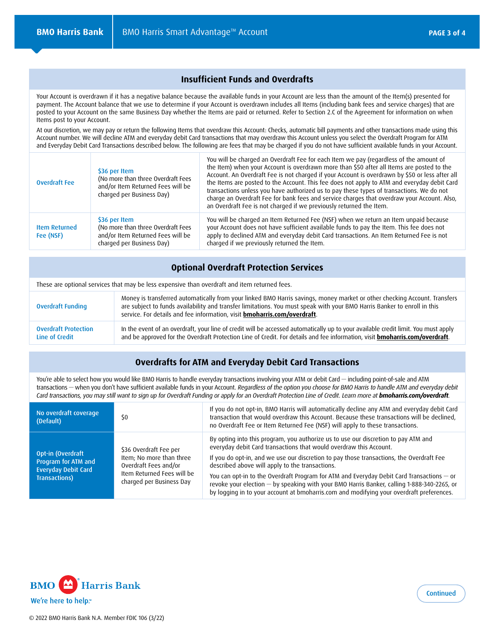### **Insufficient Funds and Overdrafts**

Your Account is overdrawn if it has a negative balance because the available funds in your Account are less than the amount of the Item(s) presented for payment. The Account balance that we use to determine if your Account is overdrawn includes all Items (including bank fees and service charges) that are posted to your Account on the same Business Day whether the Items are paid or returned. Refer to Section 2.C of the Agreement for information on when Items post to your Account.

At our discretion, we may pay or return the following Items that overdraw this Account: Checks, automatic bill payments and other transactions made using this Account number. We will decline ATM and everyday debit Card transactions that may overdraw this Account unless you select the Overdraft Program for ATM and Everyday Debit Card Transactions described below. The following are fees that may be charged if you do not have sufficient available funds in your Account.

| <b>Overdraft Fee</b>              | \$36 per Item<br>(No more than three Overdraft Fees<br>and/or Item Returned Fees will be<br>charged per Business Day) | You will be charged an Overdraft Fee for each Item we pay (regardless of the amount of<br>the Item) when your Account is overdrawn more than \$50 after all Items are posted to the<br>Account. An Overdraft Fee is not charged if your Account is overdrawn by \$50 or less after all<br>the Items are posted to the Account. This fee does not apply to ATM and everyday debit Card<br>transactions unless you have authorized us to pay these types of transactions. We do not<br>charge an Overdraft Fee for bank fees and service charges that overdraw your Account. Also,<br>an Overdraft Fee is not charged if we previously returned the Item. |
|-----------------------------------|-----------------------------------------------------------------------------------------------------------------------|---------------------------------------------------------------------------------------------------------------------------------------------------------------------------------------------------------------------------------------------------------------------------------------------------------------------------------------------------------------------------------------------------------------------------------------------------------------------------------------------------------------------------------------------------------------------------------------------------------------------------------------------------------|
| <b>Item Returned</b><br>Fee (NSF) | \$36 per Item<br>(No more than three Overdraft Fees<br>and/or Item Returned Fees will be<br>charged per Business Day) | You will be charged an Item Returned Fee (NSF) when we return an Item unpaid because<br>your Account does not have sufficient available funds to pay the Item. This fee does not<br>apply to declined ATM and everyday debit Card transactions. An Item Returned Fee is not<br>charged if we previously returned the Item.                                                                                                                                                                                                                                                                                                                              |

#### **Optional Overdraft Protection Services**

These are optional services that may be less expensive than overdraft and item returned fees. Overdraft Funding Money is transferred automatically from your linked BMO Harris savings, money market or other checking Account. Transfers are subject to funds availability and transfer limitations. You must speak with your BMO Harris Banker to enroll in this service. For details and fee information, visit **bmoharris.com/overdraft**. Overdraft Protection Line of Credit In the event of an overdraft, your line of credit will be accessed automatically up to your available credit limit. You must apply and be approved for the Overdraft Protection Line of Credit. For details and fee information, visit **bmoharris.com/overdraft**.

### **Overdrafts for ATM and Everyday Debit Card Transactions**

You're able to select how you would like BMO Harris to handle everyday transactions involving your ATM or debit Card — including point-of-sale and ATM transactions — when you don't have sufficient available funds in your Account. *Regardless of the option you choose for BMO Harris to handle ATM and everyday debit Card transactions, you may still want to sign up for Overdraft Funding or apply for an Overdraft Protection Line of Credit. Learn more at bmoharris.com/overdraft.*

| No overdraft coverage<br>(Default)                                                      | \$0                                                                                                                                   | If you do not opt-in, BMO Harris will automatically decline any ATM and everyday debit Card<br>transaction that would overdraw this Account. Because these transactions will be declined,<br>no Overdraft Fee or Item Returned Fee (NSF) will apply to these transactions.                                                                                                                                                                                                                                                                                                                     |
|-----------------------------------------------------------------------------------------|---------------------------------------------------------------------------------------------------------------------------------------|------------------------------------------------------------------------------------------------------------------------------------------------------------------------------------------------------------------------------------------------------------------------------------------------------------------------------------------------------------------------------------------------------------------------------------------------------------------------------------------------------------------------------------------------------------------------------------------------|
| Opt-in (Overdraft<br>Program for ATM and<br><b>Everyday Debit Card</b><br>Transactions) | \$36 Overdraft Fee per<br>Item; No more than three<br>Overdraft Fees and/or<br>Item Returned Fees will be<br>charged per Business Day | By opting into this program, you authorize us to use our discretion to pay ATM and<br>everyday debit Card transactions that would overdraw this Account.<br>If you do opt-in, and we use our discretion to pay those transactions, the Overdraft Fee<br>described above will apply to the transactions.<br>You can opt-in to the Overdraft Program for ATM and Everyday Debit Card Transactions — or<br>revoke your election - by speaking with your BMO Harris Banker, calling 1-888-340-2265, or<br>by logging in to your account at bmoharris.com and modifying your overdraft preferences. |